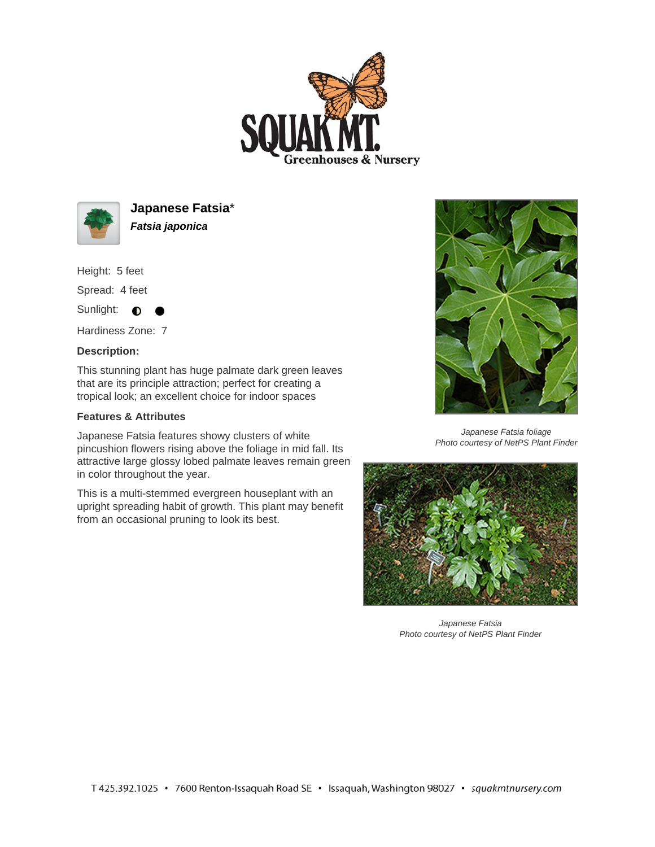



**Japanese Fatsia**\* **Fatsia japonica**

Height: 5 feet

Spread: 4 feet

Sunlight:  $\bullet$ 

Hardiness Zone: 7

## **Description:**

This stunning plant has huge palmate dark green leaves that are its principle attraction; perfect for creating a tropical look; an excellent choice for indoor spaces

## **Features & Attributes**

Japanese Fatsia features showy clusters of white pincushion flowers rising above the foliage in mid fall. Its attractive large glossy lobed palmate leaves remain green in color throughout the year.

This is a multi-stemmed evergreen houseplant with an upright spreading habit of growth. This plant may benefit from an occasional pruning to look its best.



Japanese Fatsia foliage Photo courtesy of NetPS Plant Finder



Japanese Fatsia Photo courtesy of NetPS Plant Finder